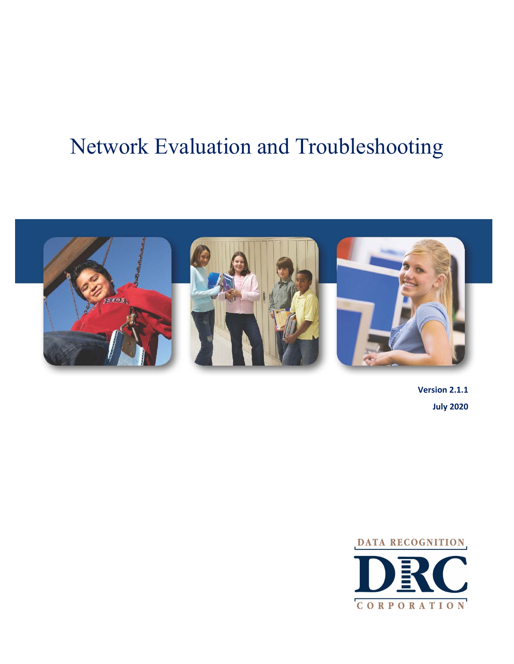# Network Evaluation and Troubleshooting



**Version 2.1.1 July 2020**

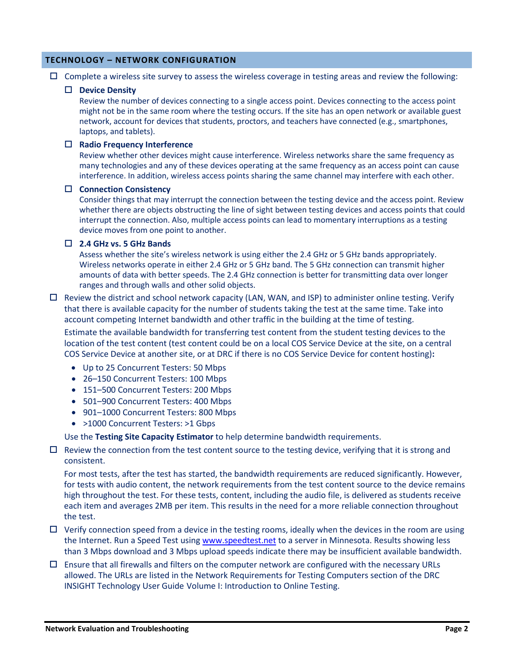## **TECHNOLOGY – NETWORK CONFIGURATION**

 $\Box$  Complete a wireless site survey to assess the wireless coverage in testing areas and review the following:

#### **Device Density**

Review the number of devices connecting to a single access point. Devices connecting to the access point might not be in the same room where the testing occurs. If the site has an open network or available guest network, account for devices that students, proctors, and teachers have connected (e.g., smartphones, laptops, and tablets).

#### **Radio Frequency Interference**

Review whether other devices might cause interference. Wireless networks share the same frequency as many technologies and any of these devices operating at the same frequency as an access point can cause interference. In addition, wireless access points sharing the same channel may interfere with each other.

#### **Connection Consistency**

Consider things that may interrupt the connection between the testing device and the access point. Review whether there are objects obstructing the line of sight between testing devices and access points that could interrupt the connection. Also, multiple access points can lead to momentary interruptions as a testing device moves from one point to another.

#### **2.4 GHz vs. 5 GHz Bands**

Assess whether the site's wireless network is using either the 2.4 GHz or 5 GHz bands appropriately. Wireless networks operate in either 2.4 GHz or 5 GHz band. The 5 GHz connection can transmit higher amounts of data with better speeds. The 2.4 GHz connection is better for transmitting data over longer ranges and through walls and other solid objects.

 $\Box$  Review the district and school network capacity (LAN, WAN, and ISP) to administer online testing. Verify that there is available capacity for the number of students taking the test at the same time. Take into account competing Internet bandwidth and other traffic in the building at the time of testing.

Estimate the available bandwidth for transferring test content from the student testing devices to the location of the test content (test content could be on a local COS Service Device at the site, on a central COS Service Device at another site, or at DRC if there is no COS Service Device for content hosting)**:**

- Up to 25 Concurrent Testers: 50 Mbps
- 26–150 Concurrent Testers: 100 Mbps
- 151–500 Concurrent Testers: 200 Mbps
- 501–900 Concurrent Testers: 400 Mbps
- 901–1000 Concurrent Testers: 800 Mbps
- >1000 Concurrent Testers: >1 Gbps

Use the **Testing Site Capacity Estimator** to help determine bandwidth requirements.

 $\Box$  Review the connection from the test content source to the testing device, verifying that it is strong and consistent.

For most tests, after the test has started, the bandwidth requirements are reduced significantly. However, for tests with audio content, the network requirements from the test content source to the device remains high throughout the test. For these tests, content, including the audio file, is delivered as students receive each item and averages 2MB per item. This results in the need for a more reliable connection throughout the test.

- $\Box$  Verify connection speed from a device in the testing rooms, ideally when the devices in the room are using the Internet. Run a Speed Test using [www.speedtest.net](http://www.speedtest.net/) to a server in Minnesota. Results showing less than 3 Mbps download and 3 Mbps upload speeds indicate there may be insufficient available bandwidth.
- $\Box$  Ensure that all firewalls and filters on the computer network are configured with the necessary URLs allowed. The URLs are listed in the Network Requirements for Testing Computers section of the DRC INSIGHT Technology User Guide Volume I: Introduction to Online Testing.